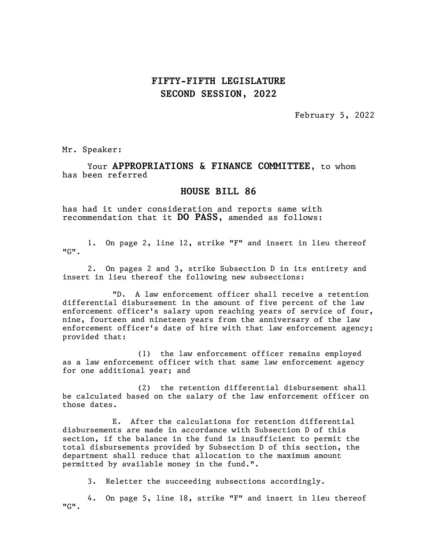## FIFTY-FIFTH LEGISLATURE SECOND SESSION, 2022

February 5, 2022

Mr. Speaker:

Your APPROPRIATIONS & FINANCE COMMITTEE, to whom has been referred

## HOUSE BILL 86

has had it under consideration and reports same with recommendation that it DO PASS, amended as follows:

1. On page 2, line 12, strike "F" and insert in lieu thereof "G".

2. On pages 2 and 3, strike Subsection D in its entirety and insert in lieu thereof the following new subsections:

"D. A law enforcement officer shall receive a retention differential disbursement in the amount of five percent of the law enforcement officer's salary upon reaching years of service of four, nine, fourteen and nineteen years from the anniversary of the law enforcement officer's date of hire with that law enforcement agency; provided that:

(1) the law enforcement officer remains employed as a law enforcement officer with that same law enforcement agency for one additional year; and

(2) the retention differential disbursement shall be calculated based on the salary of the law enforcement officer on those dates.

E. After the calculations for retention differential disbursements are made in accordance with Subsection D of this section, if the balance in the fund is insufficient to permit the total disbursements provided by Subsection D of this section, the department shall reduce that allocation to the maximum amount permitted by available money in the fund.".

3. Reletter the succeeding subsections accordingly.

4. On page 5, line 18, strike "F" and insert in lieu thereof "G".